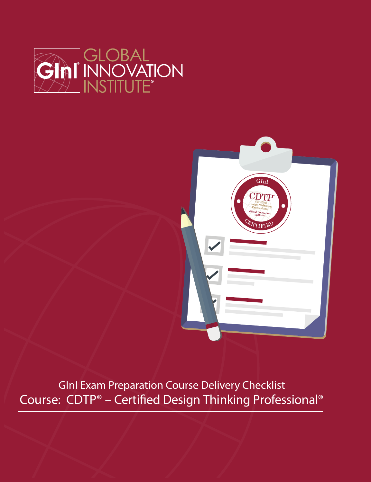



GInI Exam Preparation Course Delivery Checklist Course: CDTP® - Certified Design Thinking Professional®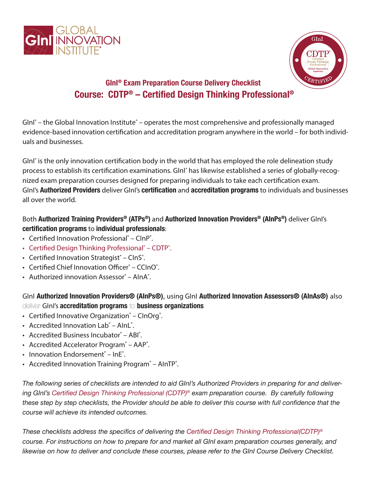



## **GInI® Exam Preparation Course Delivery Checklist Course: CDTP® – Certified Design Thinking Professional®**

GInI<sup>®</sup> – the Global Innovation Institute<sup>®</sup> – operates the most comprehensive and professionally managed evidence-based innovation certification and accreditation program anywhere in the world – for both individuals and businesses.

GInI<sup>®</sup> is the only innovation certification body in the world that has employed the role delineation study process to establish its certification examinations. GInI<sup>®</sup> has likewise established a series of globally-recognized exam preparation courses designed for preparing individuals to take each certification exam. GInI's **Authorized Providers** deliver GInI's **certification** and **accreditation programs** to individuals and businesses all over the world.

Both **Authorized Training Providers® (ATPs®)** and **Authorized Innovation Providers® (AInPs®)** deliver GInI's **certification programs** to **individual professionals**:

- Certified Innovation Professional<sup>®</sup> ClnP<sup>®</sup>.
- Certified Design Thinking Professional<sup>®</sup> CDTP<sup>®</sup>.
- Certified Innovation Strategist® ClnS®.
- Certified Chief Innovation Officer® CCInO®.
- Authorized innovation Assessor® AlnA®.

GInI **Authorized Innovation Providers® (AInPs®)**, using GInI **Authorized Innovation Assessors® (AInAs®)** also deliver GInI's **accreditation programs** to **business organizations**:

- Certified Innovative Organization® CInOrg®.
- Accredited Innovation Lab® AInL®.
- Accredited Business Incubator® ABI®.
- Accredited Accelerator Program<sup>®</sup> AAP<sup>®</sup>.
- Innovation Endorsement® InE®.
- Accredited Innovation Training Program<sup>®</sup> AInTP<sup>®</sup>.

*The following series of checklists are intended to aid GInI's Authorized Providers in preparing for and delivering GInI's Certified Design Thinking Professional (CDTP)® exam preparation course. By carefully following these step by step checklists, the Provider should be able to deliver this course with full confidence that the course will achieve its intended outcomes.*

*These checklists address the specifics of delivering the Certified Design Thinking Professional(CDTP)® course. For instructions on how to prepare for and market all GInI exam preparation courses generally, and likewise on how to deliver and conclude these courses, please refer to the GInI Course Delivery Checklist.*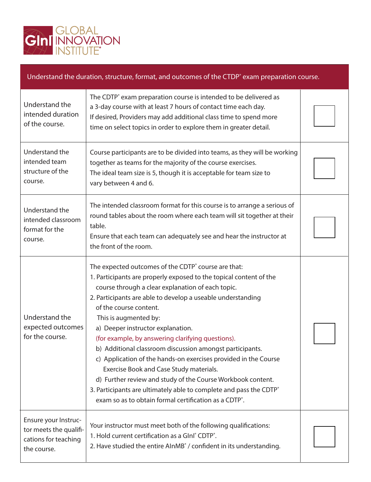

## Understand the duration, structure, format, and outcomes of the CTDP<sup>®</sup> exam preparation course.

| Understand the<br>intended duration<br>of the course.                                 | The CDTP <sup>®</sup> exam preparation course is intended to be delivered as<br>a 3-day course with at least 7 hours of contact time each day.<br>If desired, Providers may add additional class time to spend more<br>time on select topics in order to explore them in greater detail.                                                                                                                                                                                                                                                                                                                                                                                                                                                                                        |  |
|---------------------------------------------------------------------------------------|---------------------------------------------------------------------------------------------------------------------------------------------------------------------------------------------------------------------------------------------------------------------------------------------------------------------------------------------------------------------------------------------------------------------------------------------------------------------------------------------------------------------------------------------------------------------------------------------------------------------------------------------------------------------------------------------------------------------------------------------------------------------------------|--|
| Understand the<br>intended team<br>structure of the<br>course.                        | Course participants are to be divided into teams, as they will be working<br>together as teams for the majority of the course exercises.<br>The ideal team size is 5, though it is acceptable for team size to<br>vary between 4 and 6.                                                                                                                                                                                                                                                                                                                                                                                                                                                                                                                                         |  |
| Understand the<br>intended classroom<br>format for the<br>course.                     | The intended classroom format for this course is to arrange a serious of<br>round tables about the room where each team will sit together at their<br>table.<br>Ensure that each team can adequately see and hear the instructor at<br>the front of the room.                                                                                                                                                                                                                                                                                                                                                                                                                                                                                                                   |  |
| Understand the<br>expected outcomes<br>for the course.                                | The expected outcomes of the CDTP° course are that:<br>1. Participants are properly exposed to the topical content of the<br>course through a clear explanation of each topic.<br>2. Participants are able to develop a useable understanding<br>of the course content.<br>This is augmented by:<br>a) Deeper instructor explanation.<br>(for example, by answering clarifying questions).<br>b) Additional classroom discussion amongst participants.<br>c) Application of the hands-on exercises provided in the Course<br>Exercise Book and Case Study materials.<br>d) Further review and study of the Course Workbook content.<br>3. Participants are ultimately able to complete and pass the CDTP°<br>exam so as to obtain formal certification as a CDTP <sup>®</sup> . |  |
| Ensure your Instruc-<br>tor meets the qualifi-<br>cations for teaching<br>the course. | Your instructor must meet both of the following qualifications:<br>1. Hold current certification as a GInl° CDTP°.<br>2. Have studied the entire AlnMB° / confident in its understanding.                                                                                                                                                                                                                                                                                                                                                                                                                                                                                                                                                                                       |  |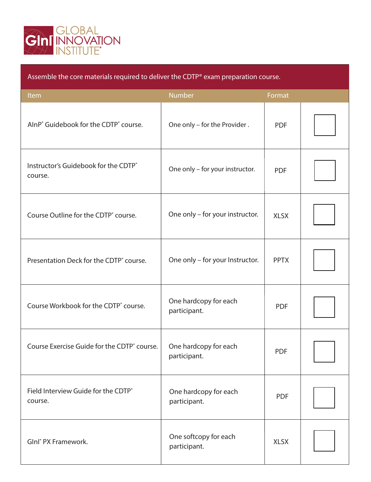

| Assemble the core materials required to deliver the CDTP <sup>®</sup> exam preparation course. |                                       |             |  |
|------------------------------------------------------------------------------------------------|---------------------------------------|-------------|--|
| Item                                                                                           | <b>Number</b>                         | Format      |  |
| AlnP <sup>®</sup> Guidebook for the CDTP <sup>®</sup> course.                                  | One only - for the Provider.          | <b>PDF</b>  |  |
| Instructor's Guidebook for the CDTP®<br>course.                                                | One only - for your instructor.       | <b>PDF</b>  |  |
| Course Outline for the CDTP° course.                                                           | One only - for your instructor.       | <b>XLSX</b> |  |
| Presentation Deck for the CDTP° course.                                                        | One only - for your Instructor.       | <b>PPTX</b> |  |
| Course Workbook for the CDTP <sup>®</sup> course.                                              | One hardcopy for each<br>participant. | <b>PDF</b>  |  |
| Course Exercise Guide for the CDTP° course.                                                    | One hardcopy for each<br>participant. | <b>PDF</b>  |  |
| Field Interview Guide for the CDTP®<br>course.                                                 | One hardcopy for each<br>participant. | <b>PDF</b>  |  |
| Glnl <sup>®</sup> PX Framework.                                                                | One softcopy for each<br>participant. | <b>XLSX</b> |  |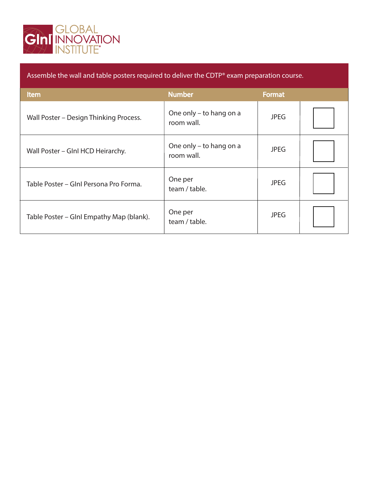

| Assemble the wall and table posters required to deliver the CDTP® exam preparation course. |                                       |               |  |
|--------------------------------------------------------------------------------------------|---------------------------------------|---------------|--|
| <b>Item</b>                                                                                | <b>Number</b>                         | <b>Format</b> |  |
| Wall Poster - Design Thinking Process.                                                     | One only – to hang on a<br>room wall. | <b>JPEG</b>   |  |
| Wall Poster – Glnl HCD Heirarchy.                                                          | One only – to hang on a<br>room wall. | <b>JPEG</b>   |  |
| Table Poster - Gini Persona Pro Forma.                                                     | One per<br>team / table.              | <b>JPEG</b>   |  |
| Table Poster – Glnl Empathy Map (blank).                                                   | One per<br>team / table.              | <b>JPEG</b>   |  |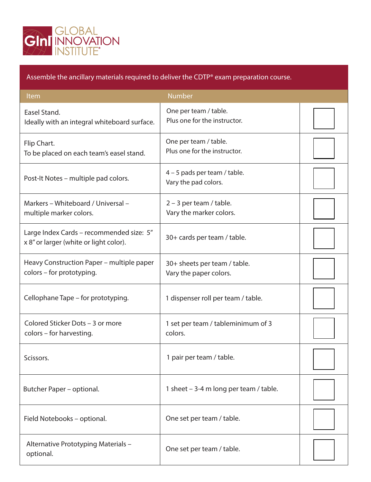

Assemble the ancillary materials required to deliver the CDTP® exam preparation course.

| Item                                                                               | <b>Number</b>                                          |  |
|------------------------------------------------------------------------------------|--------------------------------------------------------|--|
| Easel Stand.<br>Ideally with an integral whiteboard surface.                       | One per team / table.<br>Plus one for the instructor.  |  |
| Flip Chart.<br>To be placed on each team's easel stand.                            | One per team / table.<br>Plus one for the instructor.  |  |
| Post-It Notes – multiple pad colors.                                               | 4 - 5 pads per team / table.<br>Vary the pad colors.   |  |
| Markers - Whiteboard / Universal -<br>multiple marker colors.                      | $2 - 3$ per team / table.<br>Vary the marker colors.   |  |
| Large Index Cards - recommended size: 5"<br>x 8" or larger (white or light color). | 30+ cards per team / table.                            |  |
| Heavy Construction Paper – multiple paper<br>colors - for prototyping.             | 30+ sheets per team / table.<br>Vary the paper colors. |  |
| Cellophane Tape – for prototyping.                                                 | 1 dispenser roll per team / table.                     |  |
| Colored Sticker Dots - 3 or more<br>colors - for harvesting.                       | 1 set per team / tableminimum of 3<br>colors.          |  |
| Scissors.                                                                          | 1 pair per team / table.                               |  |
| Butcher Paper - optional.                                                          | 1 sheet - 3-4 m long per team / table.                 |  |
| Field Notebooks - optional.                                                        | One set per team / table.                              |  |
| Alternative Prototyping Materials -<br>optional.                                   | One set per team / table.                              |  |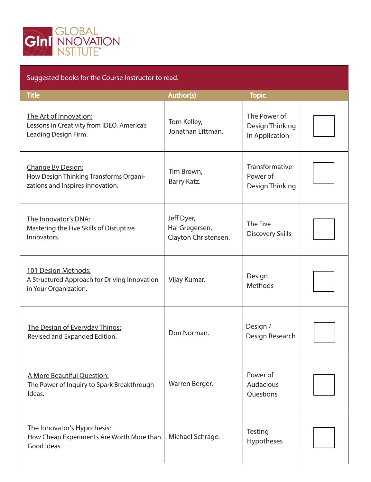

## Suggested books for the Course Instructor to read.

| <b>Title</b>                                                                                    | <b>Author(s)</b>                                     | <b>Topic</b>                                      |  |
|-------------------------------------------------------------------------------------------------|------------------------------------------------------|---------------------------------------------------|--|
| The Art of Innovation:<br>Lessons in Creativity from IDEO, America's<br>Leading Design Firm.    | Tom Kelley,<br>Jonathan Littman.                     | The Power of<br>Design Thinking<br>in Application |  |
| Change By Design:<br>How Design Thinking Transforms Organi-<br>zations and Inspires Innovation. | Tim Brown,<br>Barry Katz.                            | Transformative<br>Power of<br>Design Thinking     |  |
| The Innovator's DNA:<br>Mastering the Five Skills of Disruptive<br>Innovators.                  | Jeff Dyer,<br>Hal Gregersen,<br>Clayton Christensen. | The Five<br><b>Discovery Skills</b>               |  |
| 101 Design Methods:<br>A Structured Approach for Driving Innovation<br>in Your Organization.    | Vijay Kumar.                                         | Design<br>Methods                                 |  |
| The Design of Everyday Things:<br>Revised and Expanded Edition.                                 | Don Norman.                                          | Design /<br>Design Research                       |  |
| A More Beautiful Question:<br>The Power of Inquiry to Spark Breakthrough<br>Ideas.              | Warren Berger.                                       | Power of<br>Audacious<br>Questions                |  |
| The Innovator's Hypothesis:<br>How Cheap Experiments Are Worth More than<br>Good Ideas.         | Michael Schrage.                                     | Testing<br>Hypotheses                             |  |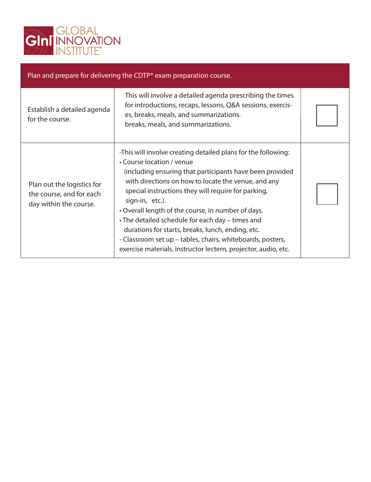

| Plan and prepare for delivering the CDTP <sup>®</sup> exam preparation course.   |                                                                                                                                                                                                                                                                                                                                                                                                                                                                                                                                                                                        |  |  |
|----------------------------------------------------------------------------------|----------------------------------------------------------------------------------------------------------------------------------------------------------------------------------------------------------------------------------------------------------------------------------------------------------------------------------------------------------------------------------------------------------------------------------------------------------------------------------------------------------------------------------------------------------------------------------------|--|--|
| Establish a detailed agenda<br>for the course.                                   | This will involve a detailed agenda prescribing the times<br>for introductions, recaps, lessons, Q&A sessions, exercis-<br>es, breaks, meals, and summarizations.<br>breaks, meals, and summarizations.                                                                                                                                                                                                                                                                                                                                                                                |  |  |
| Plan out the logistics for<br>the course, and for each<br>day within the course. | -This will involve creating detailed plans for the following:<br>• Course location / venue<br>(including ensuring that participants have been provided<br>with directions on how to locate the venue, and any<br>special instructions they will require for parking,<br>sign-in, etc.).<br>• Overall length of the course, in number of days.<br>• The detailed schedule for each day - times and<br>durations for starts, breaks, lunch, ending, etc.<br>- Classroom set up – tables, chairs, whiteboards, posters,<br>exercise materials, instructor lectern, projector, audio, etc. |  |  |